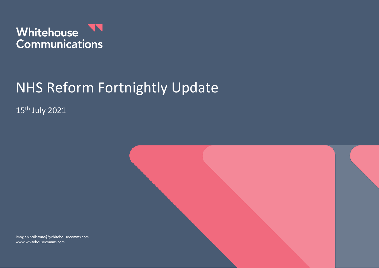

# NHS Reform Fortnightly Update

15th July 2021



imogen.hailstone@whitehousecomms.com www.whitehousecomms.com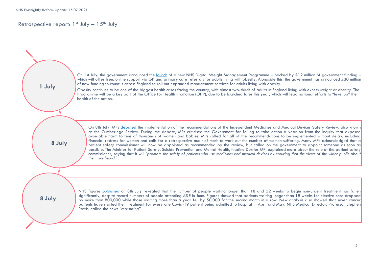## Retrospective report:  $1<sup>st</sup>$  July  $-15<sup>th</sup>$  July

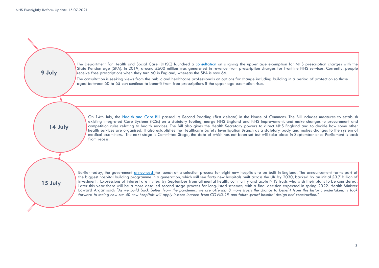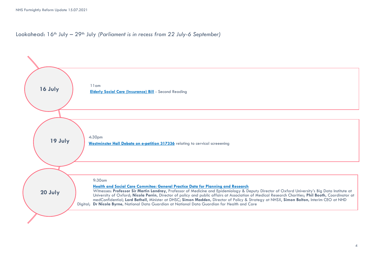Lookahead: 16<sup>th</sup> July – 29<sup>th</sup> July *(Parliament is in recess from 22 July-6 September)* 

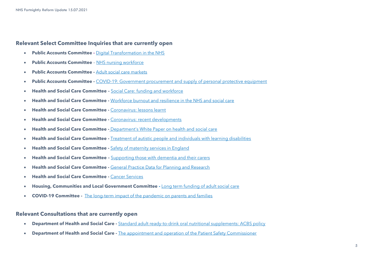### **Relevant Select Committee Inquiries that are currently open**

- **Public Accounts Committee -** [Digital Transformation in the NHS](https://committees.parliament.uk/work/479/digital-transformation-in-the-nhs/)
- **Public Accounts Committee** [NHS nursing workforce](https://committees.parliament.uk/work/373/nhs-nursing-workforce/)
- **Public Accounts Committee -** [Adult social care markets](https://committees.parliament.uk/work/1135/adult-social-care-markets/)
- **Public Accounts Committee -** [COVID-19: Government procurement and supply of personal protective equipment](https://committees.parliament.uk/work/731/covid19-government-procurement-and-supply-of-personal-protective-equipment/)
- **Health and Social Care Committee –** [Social Care: funding and workforce](https://committees.parliament.uk/work/136/social-care-funding-and-workforce/)
- **Health and Social Care Committee -** [Workforce burnout and resilience in the NHS and social care](https://committees.parliament.uk/work/494/workforce-burnout-and-resilience-in-the-nhs-and-social-care/)
- **Health and Social Care Committee -** [Coronavirus: lessons learnt](https://committees.parliament.uk/work/657/coronavirus-lessons-learnt/)
- **Health and Social Care Committee -** [Coronavirus: recent developments](https://committees.parliament.uk/work/930/coronavirus-recent-developments/)
- **Health and Social Care Committee -** [Department's White Paper on health and social care](https://committees.parliament.uk/work/1068/departments-white-paper-on-health-and-social-care/)
- **Health and Social Care Committee -** [Treatment of autistic people and individuals with learning disabilities](https://committees.parliament.uk/work/1026/treatment-of-autistic-people-and-individuals-with-learning-disabilities/)
- **Health and Social Care Committee -** [Safety of maternity services in England](https://committees.parliament.uk/work/472/safety-of-maternity-services-in-england/)
- **Health and Social Care Committee –** [Supporting those with dementia and their carers](https://committees.parliament.uk/work/1231/supporting-those-with-dementia-and-their-carers/)
- **Health and Social Care Committee -** [General Practice Data for Planning and Research](https://committees.parliament.uk/work/1407/general-practice-data-for-planning-and-research/)
- **Health and Social Care Committee -** [Cancer Services](https://committees.parliament.uk/work/1377/cancer-services/)
- **Housing, Communities and Local Government Committee -** [Long term funding of adult social care](https://committees.parliament.uk/work/1080/long-term-funding-of-adult-social-care/)
- **COVID-19 Committee -** [The long-term impact of the pandemic on parents and families](https://committees.parliament.uk/work/1121/the-longterm-impact-of-the-pandemic-on-parents-and-families/)

#### **Relevant Consultations that are currently open**

- **Department of Health and Social Care -** [Standard adult ready-to-drink oral nutritional supplements: ACBS policy](https://www.gov.uk/government/consultations/oral-nutritional-supplements-acbs-policy)
- **Department of Health and Social Care -** [The appointment and operation of the Patient Safety Commissioner](https://www.gov.uk/government/consultations/the-appointment-and-operation-of-the-patient-safety-commissioner)